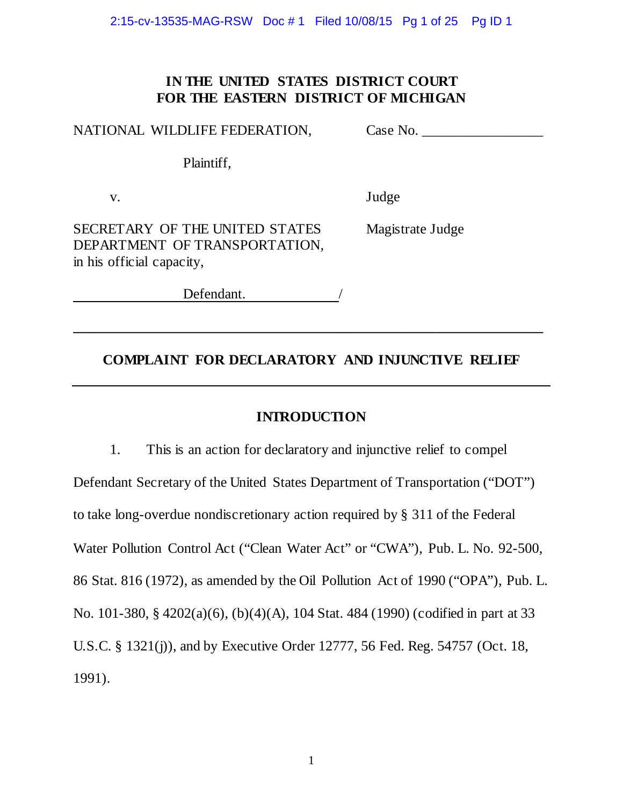2:15-cv-13535-MAG-RSW Doc # 1 Filed 10/08/15 Pg 1 of 25 Pg ID 1

# **IN THE UNITED STATES DISTRICT COURT FOR THE EASTERN DISTRICT OF MICHIGAN**

NATIONAL WILDLIFE FEDERATION, Case No. \_\_\_\_\_\_\_\_\_\_\_\_\_\_\_\_\_

Plaintiff,

v. Judge

SECRETARY OF THE UNITED STATES Magistrate Judge DEPARTMENT OF TRANSPORTATION, in his official capacity,

Defendant.

# **COMPLAINT FOR DECLARATORY AND INJUNCTIVE RELIEF**

**\_\_\_\_\_\_\_\_\_\_\_\_\_\_\_\_\_\_\_\_\_\_\_\_\_\_\_\_\_\_\_\_\_\_\_\_\_\_\_\_\_\_\_\_\_\_\_\_\_\_\_\_\_\_\_\_\_\_\_\_\_\_\_\_\_\_**

# **INTRODUCTION**

1. This is an action for declaratory and injunctive relief to compel Defendant Secretary of the United States Department of Transportation ("DOT") to take long-overdue nondiscretionary action required by § 311 of the Federal Water Pollution Control Act ("Clean Water Act" or "CWA"), Pub. L. No. 92-500, 86 Stat. 816 (1972), as amended by the Oil Pollution Act of 1990 ("OPA"), Pub. L. No. 101-380, § 4202(a)(6), (b)(4)(A), 104 Stat. 484 (1990) (codified in part at 33 U.S.C. § 1321(j)), and by Executive Order 12777, 56 Fed. Reg. 54757 (Oct. 18, 1991).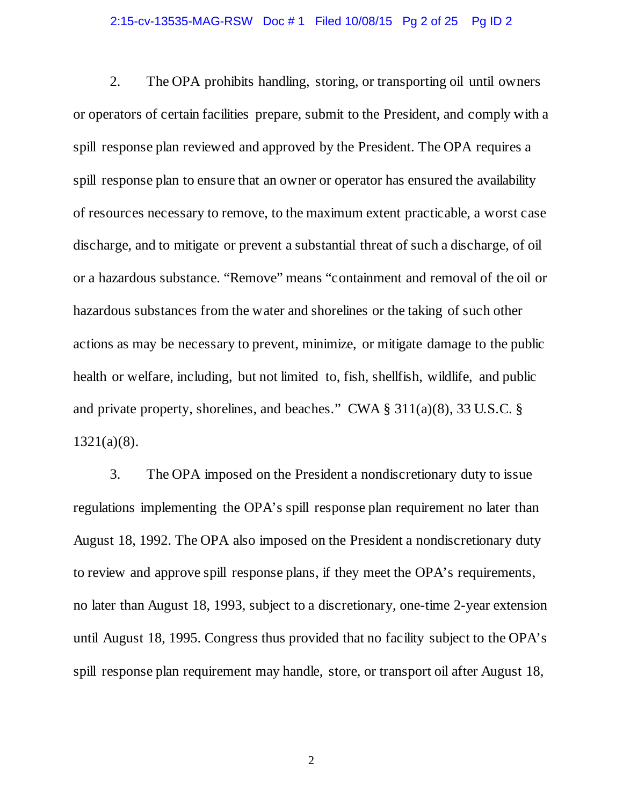### 2:15-cv-13535-MAG-RSW Doc # 1 Filed 10/08/15 Pg 2 of 25 Pg ID 2

2. The OPA prohibits handling, storing, or transporting oil until owners or operators of certain facilities prepare, submit to the President, and comply with a spill response plan reviewed and approved by the President. The OPA requires a spill response plan to ensure that an owner or operator has ensured the availability of resources necessary to remove, to the maximum extent practicable, a worst case discharge, and to mitigate or prevent a substantial threat of such a discharge, of oil or a hazardous substance. "Remove" means "containment and removal of the oil or hazardous substances from the water and shorelines or the taking of such other actions as may be necessary to prevent, minimize, or mitigate damage to the public health or welfare, including, but not limited to, fish, shellfish, wildlife, and public and private property, shorelines, and beaches." CWA § 311(a)(8), 33 U.S.C. § 1321(a)(8).

3. The OPA imposed on the President a nondiscretionary duty to issue regulations implementing the OPA's spill response plan requirement no later than August 18, 1992. The OPA also imposed on the President a nondiscretionary duty to review and approve spill response plans, if they meet the OPA's requirements, no later than August 18, 1993, subject to a discretionary, one-time 2-year extension until August 18, 1995. Congress thus provided that no facility subject to the OPA's spill response plan requirement may handle, store, or transport oil after August 18,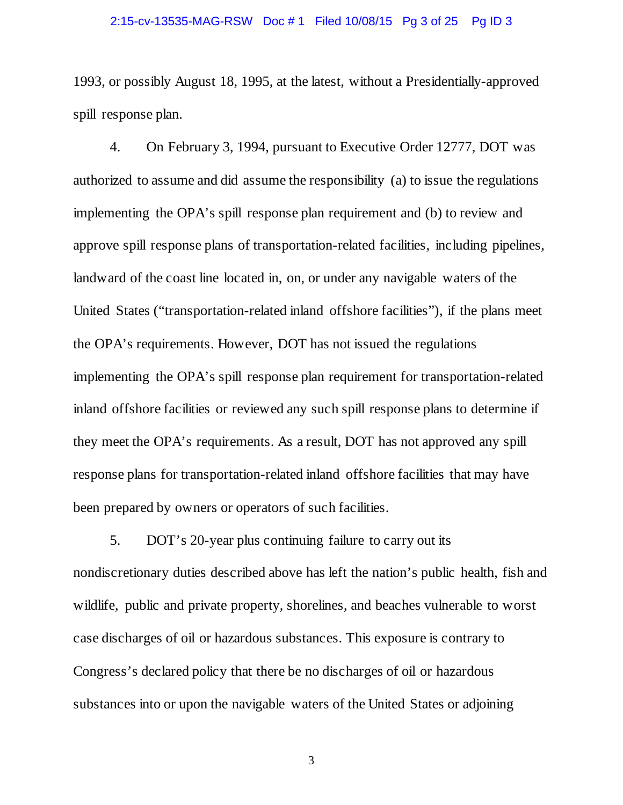### 2:15-cv-13535-MAG-RSW Doc # 1 Filed 10/08/15 Pg 3 of 25 Pg ID 3

1993, or possibly August 18, 1995, at the latest, without a Presidentially-approved spill response plan.

4. On February 3, 1994, pursuant to Executive Order 12777, DOT was authorized to assume and did assume the responsibility (a) to issue the regulations implementing the OPA's spill response plan requirement and (b) to review and approve spill response plans of transportation-related facilities, including pipelines, landward of the coast line located in, on, or under any navigable waters of the United States ("transportation-related inland offshore facilities"), if the plans meet the OPA's requirements. However, DOT has not issued the regulations implementing the OPA's spill response plan requirement for transportation-related inland offshore facilities or reviewed any such spill response plans to determine if they meet the OPA's requirements. As a result, DOT has not approved any spill response plans for transportation-related inland offshore facilities that may have been prepared by owners or operators of such facilities.

5. DOT's 20-year plus continuing failure to carry out its nondiscretionary duties described above has left the nation's public health, fish and wildlife, public and private property, shorelines, and beaches vulnerable to worst case discharges of oil or hazardous substances. This exposure is contrary to Congress's declared policy that there be no discharges of oil or hazardous substances into or upon the navigable waters of the United States or adjoining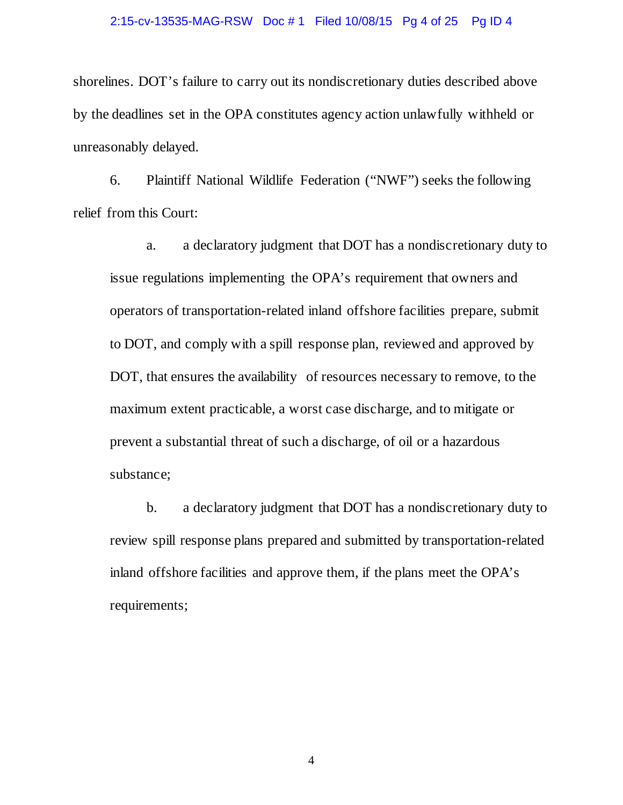## 2:15-cv-13535-MAG-RSW Doc # 1 Filed 10/08/15 Pg 4 of 25 Pg ID 4

shorelines. DOT's failure to carry out its nondiscretionary duties described above by the deadlines set in the OPA constitutes agency action unlawfully withheld or unreasonably delayed.

6. Plaintiff National Wildlife Federation ("NWF") seeks the following relief from this Court:

a. a declaratory judgment that DOT has a nondiscretionary duty to issue regulations implementing the OPA's requirement that owners and operators of transportation-related inland offshore facilities prepare, submit to DOT, and comply with a spill response plan, reviewed and approved by DOT, that ensures the availability of resources necessary to remove, to the maximum extent practicable, a worst case discharge, and to mitigate or prevent a substantial threat of such a discharge, of oil or a hazardous substance;

b. a declaratory judgment that DOT has a nondiscretionary duty to review spill response plans prepared and submitted by transportation-related inland offshore facilities and approve them, if the plans meet the OPA's requirements;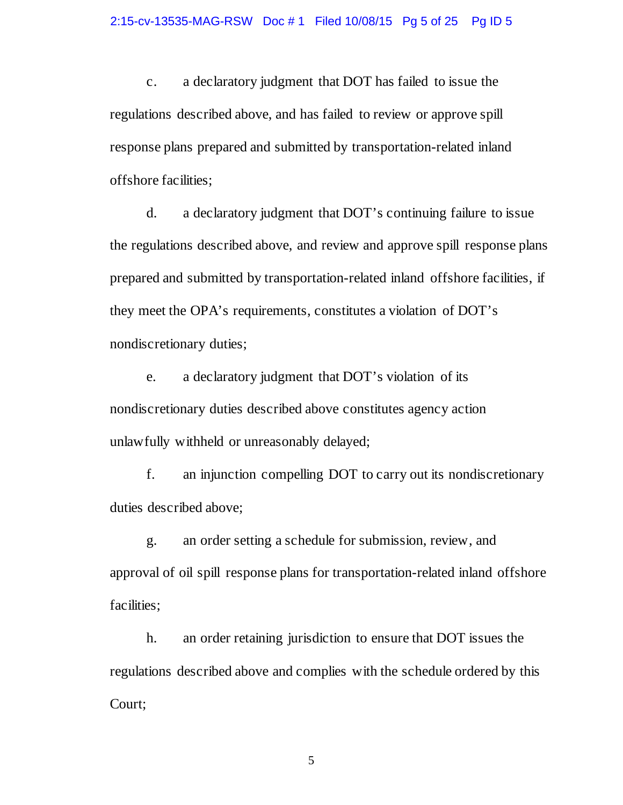c. a declaratory judgment that DOT has failed to issue the regulations described above, and has failed to review or approve spill response plans prepared and submitted by transportation-related inland offshore facilities;

d. a declaratory judgment that DOT's continuing failure to issue the regulations described above, and review and approve spill response plans prepared and submitted by transportation-related inland offshore facilities, if they meet the OPA's requirements, constitutes a violation of DOT's nondiscretionary duties;

e. a declaratory judgment that DOT's violation of its nondiscretionary duties described above constitutes agency action unlawfully withheld or unreasonably delayed;

f. an injunction compelling DOT to carry out its nondiscretionary duties described above;

g. an order setting a schedule for submission, review, and approval of oil spill response plans for transportation-related inland offshore facilities;

h. an order retaining jurisdiction to ensure that DOT issues the regulations described above and complies with the schedule ordered by this Court;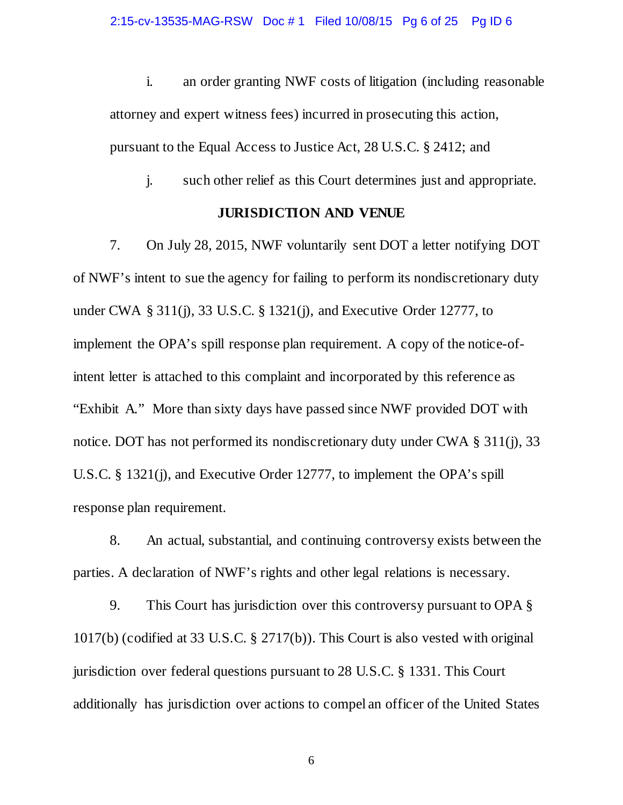i. an order granting NWF costs of litigation (including reasonable attorney and expert witness fees) incurred in prosecuting this action, pursuant to the Equal Access to Justice Act, 28 U.S.C. § 2412; and

j. such other relief as this Court determines just and appropriate.

### **JURISDICTION AND VENUE**

7. On July 28, 2015, NWF voluntarily sent DOT a letter notifying DOT of NWF's intent to sue the agency for failing to perform its nondiscretionary duty under CWA § 311(j), 33 U.S.C. § 1321(j), and Executive Order 12777, to implement the OPA's spill response plan requirement. A copy of the notice-ofintent letter is attached to this complaint and incorporated by this reference as "Exhibit A." More than sixty days have passed since NWF provided DOT with notice. DOT has not performed its nondiscretionary duty under CWA § 311(j), 33 U.S.C. § 1321(j), and Executive Order 12777, to implement the OPA's spill response plan requirement.

8. An actual, substantial, and continuing controversy exists between the parties. A declaration of NWF's rights and other legal relations is necessary.

9. This Court has jurisdiction over this controversy pursuant to OPA § 1017(b) (codified at 33 U.S.C. § 2717(b)). This Court is also vested with original jurisdiction over federal questions pursuant to 28 U.S.C. § 1331. This Court additionally has jurisdiction over actions to compel an officer of the United States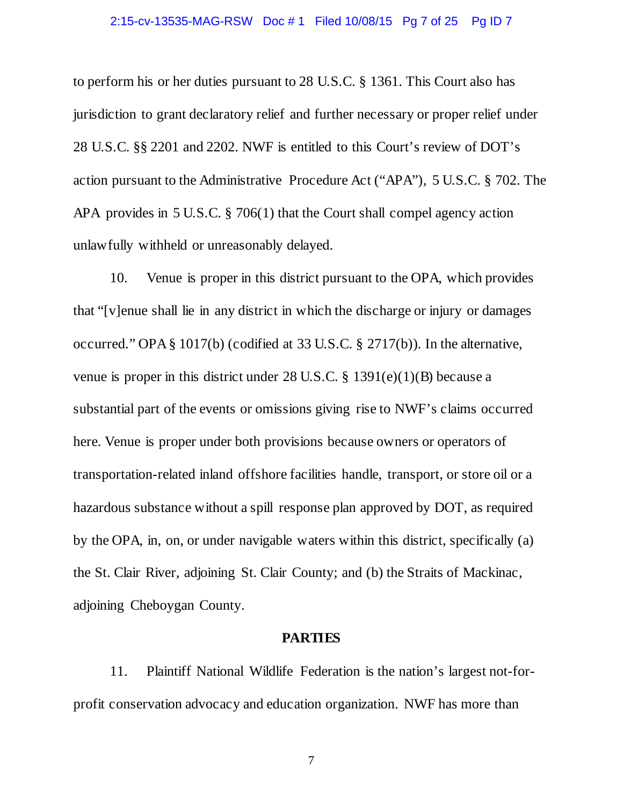#### 2:15-cv-13535-MAG-RSW Doc # 1 Filed 10/08/15 Pg 7 of 25 Pg ID 7

to perform his or her duties pursuant to 28 U.S.C. § 1361. This Court also has jurisdiction to grant declaratory relief and further necessary or proper relief under 28 U.S.C. §§ 2201 and 2202. NWF is entitled to this Court's review of DOT's action pursuant to the Administrative Procedure Act ("APA"), 5 U.S.C. § 702. The APA provides in 5 U.S.C. § 706(1) that the Court shall compel agency action unlawfully withheld or unreasonably delayed.

10. Venue is proper in this district pursuant to the OPA, which provides that "[v]enue shall lie in any district in which the discharge or injury or damages occurred." OPA § 1017(b) (codified at 33 U.S.C. § 2717(b))*.* In the alternative, venue is proper in this district under 28 U.S.C. § 1391(e)(1)(B) because a substantial part of the events or omissions giving rise to NWF's claims occurred here. Venue is proper under both provisions because owners or operators of transportation-related inland offshore facilities handle, transport, or store oil or a hazardous substance without a spill response plan approved by DOT, as required by the OPA, in, on, or under navigable waters within this district, specifically (a) the St. Clair River, adjoining St. Clair County; and (b) the Straits of Mackinac, adjoining Cheboygan County.

### **PARTIES**

11. Plaintiff National Wildlife Federation is the nation's largest not-forprofit conservation advocacy and education organization. NWF has more than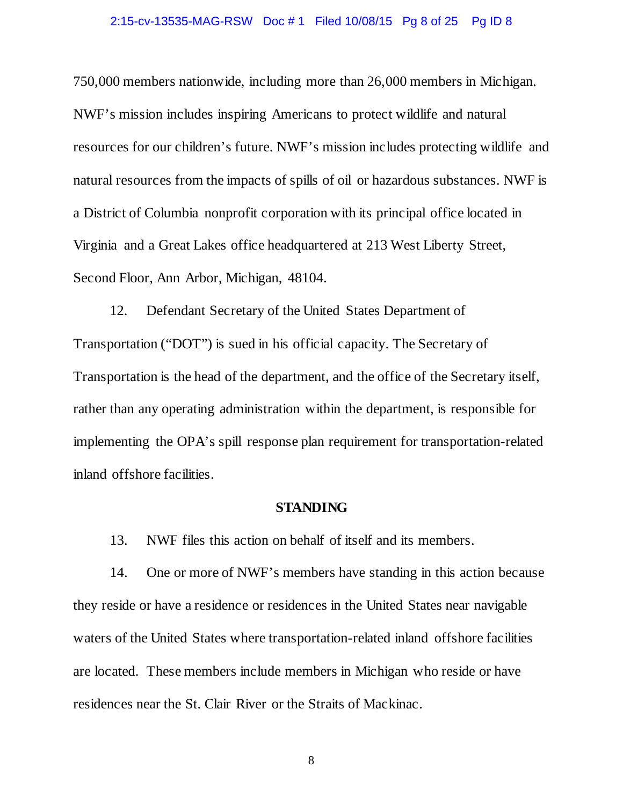#### 2:15-cv-13535-MAG-RSW Doc # 1 Filed 10/08/15 Pg 8 of 25 Pg ID 8

750,000 members nationwide, including more than 26,000 members in Michigan. NWF's mission includes inspiring Americans to protect wildlife and natural resources for our children's future. NWF's mission includes protecting wildlife and natural resources from the impacts of spills of oil or hazardous substances. NWF is a District of Columbia nonprofit corporation with its principal office located in Virginia and a Great Lakes office headquartered at 213 West Liberty Street, Second Floor, Ann Arbor, Michigan, 48104.

12. Defendant Secretary of the United States Department of Transportation ("DOT") is sued in his official capacity. The Secretary of Transportation is the head of the department, and the office of the Secretary itself, rather than any operating administration within the department, is responsible for implementing the OPA's spill response plan requirement for transportation-related inland offshore facilities.

#### **STANDING**

13. NWF files this action on behalf of itself and its members.

14. One or more of NWF's members have standing in this action because they reside or have a residence or residences in the United States near navigable waters of the United States where transportation-related inland offshore facilities are located. These members include members in Michigan who reside or have residences near the St. Clair River or the Straits of Mackinac.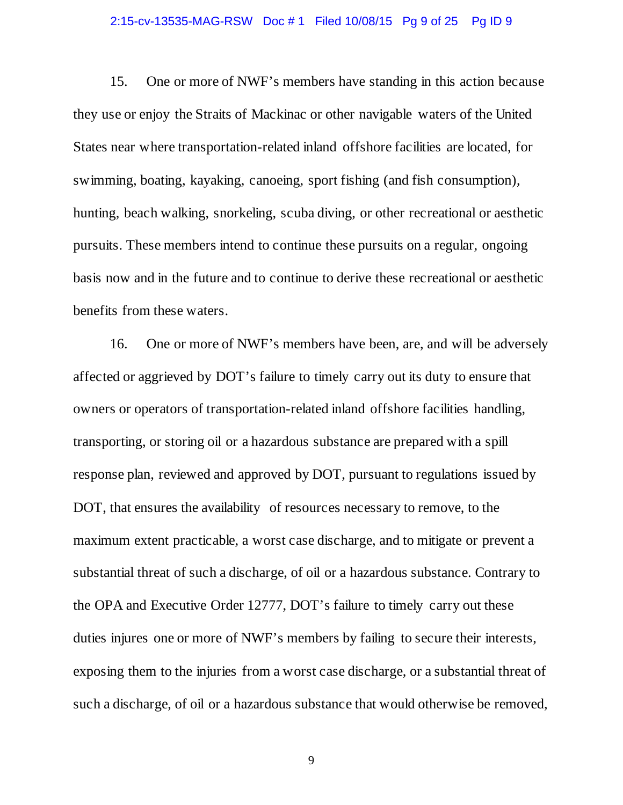### 2:15-cv-13535-MAG-RSW Doc # 1 Filed 10/08/15 Pg 9 of 25 Pg ID 9

15. One or more of NWF's members have standing in this action because they use or enjoy the Straits of Mackinac or other navigable waters of the United States near where transportation-related inland offshore facilities are located, for swimming, boating, kayaking, canoeing, sport fishing (and fish consumption), hunting, beach walking, snorkeling, scuba diving, or other recreational or aesthetic pursuits. These members intend to continue these pursuits on a regular, ongoing basis now and in the future and to continue to derive these recreational or aesthetic benefits from these waters.

16. One or more of NWF's members have been, are, and will be adversely affected or aggrieved by DOT's failure to timely carry out its duty to ensure that owners or operators of transportation-related inland offshore facilities handling, transporting, or storing oil or a hazardous substance are prepared with a spill response plan, reviewed and approved by DOT, pursuant to regulations issued by DOT, that ensures the availability of resources necessary to remove, to the maximum extent practicable, a worst case discharge, and to mitigate or prevent a substantial threat of such a discharge, of oil or a hazardous substance. Contrary to the OPA and Executive Order 12777, DOT's failure to timely carry out these duties injures one or more of NWF's members by failing to secure their interests, exposing them to the injuries from a worst case discharge, or a substantial threat of such a discharge, of oil or a hazardous substance that would otherwise be removed,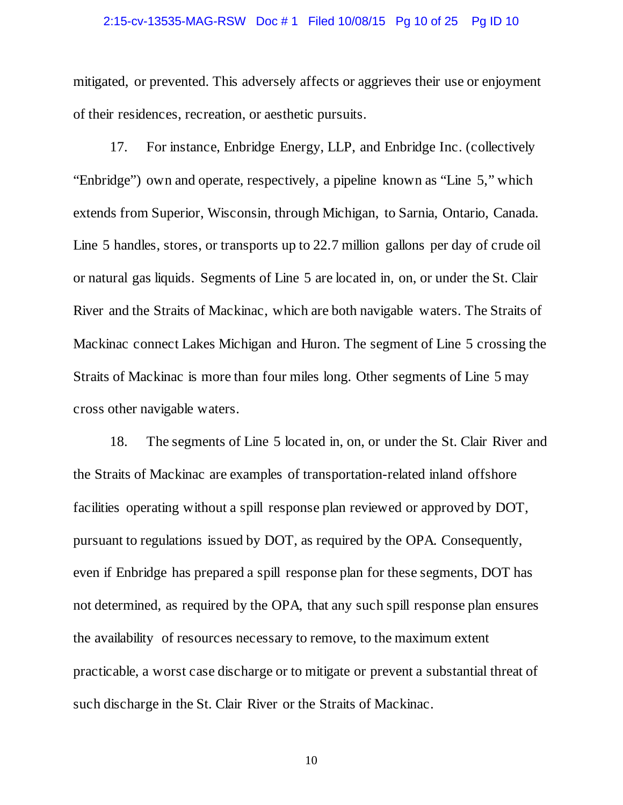### 2:15-cv-13535-MAG-RSW Doc # 1 Filed 10/08/15 Pg 10 of 25 Pg ID 10

mitigated, or prevented. This adversely affects or aggrieves their use or enjoyment of their residences, recreation, or aesthetic pursuits.

17. For instance, Enbridge Energy, LLP, and Enbridge Inc. (collectively "Enbridge") own and operate, respectively, a pipeline known as "Line 5," which extends from Superior, Wisconsin, through Michigan, to Sarnia, Ontario, Canada. Line 5 handles, stores, or transports up to 22.7 million gallons per day of crude oil or natural gas liquids. Segments of Line 5 are located in, on, or under the St. Clair River and the Straits of Mackinac, which are both navigable waters. The Straits of Mackinac connect Lakes Michigan and Huron. The segment of Line 5 crossing the Straits of Mackinac is more than four miles long. Other segments of Line 5 may cross other navigable waters.

18. The segments of Line 5 located in, on, or under the St. Clair River and the Straits of Mackinac are examples of transportation-related inland offshore facilities operating without a spill response plan reviewed or approved by DOT, pursuant to regulations issued by DOT, as required by the OPA. Consequently, even if Enbridge has prepared a spill response plan for these segments, DOT has not determined, as required by the OPA, that any such spill response plan ensures the availability of resources necessary to remove, to the maximum extent practicable, a worst case discharge or to mitigate or prevent a substantial threat of such discharge in the St. Clair River or the Straits of Mackinac.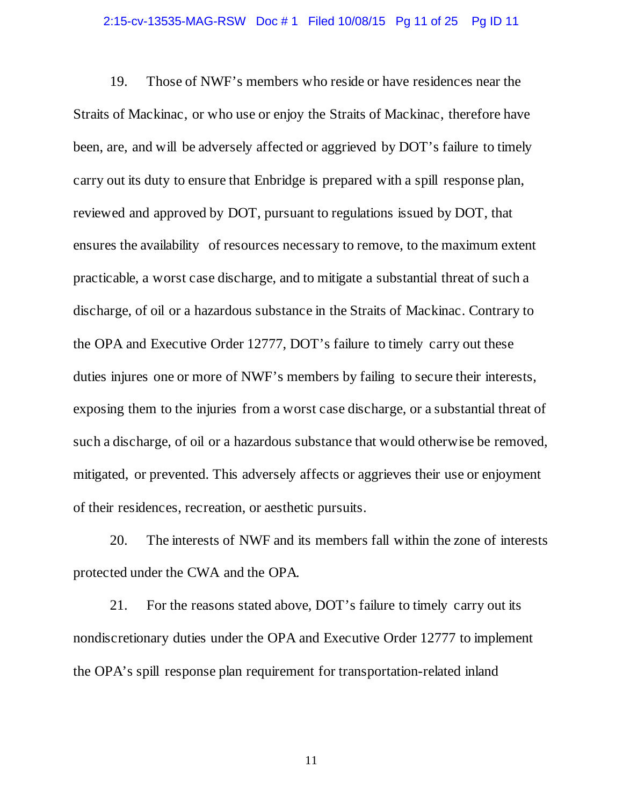### 2:15-cv-13535-MAG-RSW Doc # 1 Filed 10/08/15 Pg 11 of 25 Pg ID 11

19. Those of NWF's members who reside or have residences near the Straits of Mackinac, or who use or enjoy the Straits of Mackinac, therefore have been, are, and will be adversely affected or aggrieved by DOT's failure to timely carry out its duty to ensure that Enbridge is prepared with a spill response plan, reviewed and approved by DOT, pursuant to regulations issued by DOT, that ensures the availability of resources necessary to remove, to the maximum extent practicable, a worst case discharge, and to mitigate a substantial threat of such a discharge, of oil or a hazardous substance in the Straits of Mackinac. Contrary to the OPA and Executive Order 12777, DOT's failure to timely carry out these duties injures one or more of NWF's members by failing to secure their interests, exposing them to the injuries from a worst case discharge, or a substantial threat of such a discharge, of oil or a hazardous substance that would otherwise be removed, mitigated, or prevented. This adversely affects or aggrieves their use or enjoyment of their residences, recreation, or aesthetic pursuits.

20. The interests of NWF and its members fall within the zone of interests protected under the CWA and the OPA.

21. For the reasons stated above, DOT's failure to timely carry out its nondiscretionary duties under the OPA and Executive Order 12777 to implement the OPA's spill response plan requirement for transportation-related inland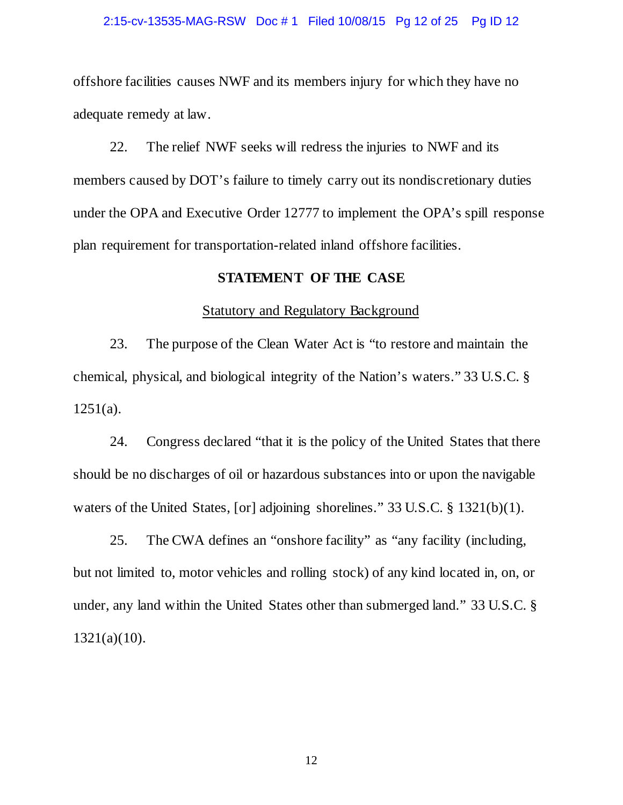#### 2:15-cv-13535-MAG-RSW Doc # 1 Filed 10/08/15 Pg 12 of 25 Pg ID 12

offshore facilities causes NWF and its members injury for which they have no adequate remedy at law.

22. The relief NWF seeks will redress the injuries to NWF and its members caused by DOT's failure to timely carry out its nondiscretionary duties under the OPA and Executive Order 12777 to implement the OPA's spill response plan requirement for transportation-related inland offshore facilities.

## **STATEMENT OF THE CASE**

#### Statutory and Regulatory Background

23. The purpose of the Clean Water Act is "to restore and maintain the chemical, physical, and biological integrity of the Nation's waters." 33 U.S.C. §  $1251(a)$ .

24. Congress declared "that it is the policy of the United States that there should be no discharges of oil or hazardous substances into or upon the navigable waters of the United States, [or] adjoining shorelines." 33 U.S.C. § 1321(b)(1).

25. The CWA defines an "onshore facility" as "any facility (including, but not limited to, motor vehicles and rolling stock) of any kind located in, on, or under, any land within the United States other than submerged land." 33 U.S.C. § 1321(a)(10).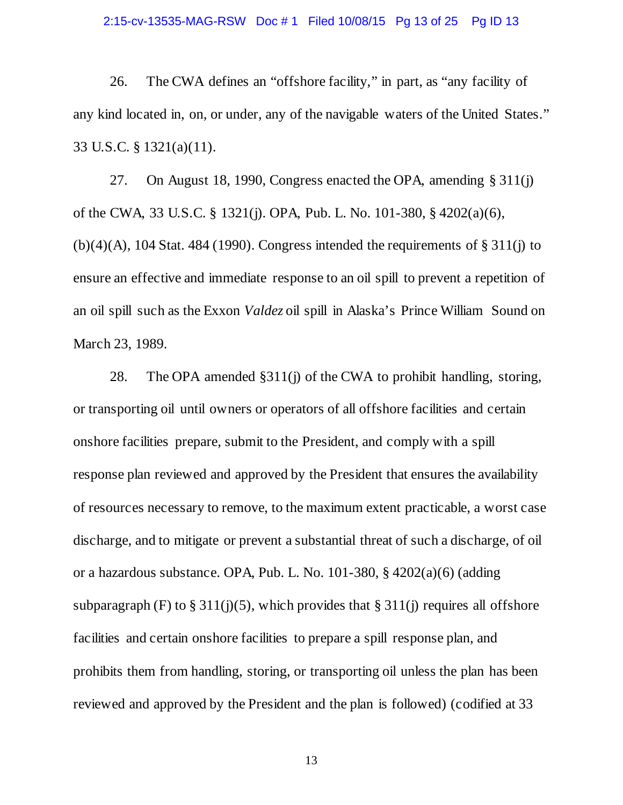### 2:15-cv-13535-MAG-RSW Doc # 1 Filed 10/08/15 Pg 13 of 25 Pg ID 13

26. The CWA defines an "offshore facility," in part, as "any facility of any kind located in, on, or under, any of the navigable waters of the United States." 33 U.S.C. § 1321(a)(11).

27. On August 18, 1990, Congress enacted the OPA, amending § 311(j) of the CWA, 33 U.S.C. § 1321(j). OPA, Pub. L. No. 101-380, § 4202(a)(6),  $(b)(4)(A)$ , 104 Stat. 484 (1990). Congress intended the requirements of § 311(j) to ensure an effective and immediate response to an oil spill to prevent a repetition of an oil spill such as the Exxon *Valdez* oil spill in Alaska's Prince William Sound on March 23, 1989.

28. The OPA amended §311(j) of the CWA to prohibit handling, storing, or transporting oil until owners or operators of all offshore facilities and certain onshore facilities prepare, submit to the President, and comply with a spill response plan reviewed and approved by the President that ensures the availability of resources necessary to remove, to the maximum extent practicable, a worst case discharge, and to mitigate or prevent a substantial threat of such a discharge, of oil or a hazardous substance. OPA, Pub. L. No. 101-380, § 4202(a)(6) (adding subparagraph (F) to § 311(j)(5), which provides that § 311(j) requires all offshore facilities and certain onshore facilities to prepare a spill response plan, and prohibits them from handling, storing, or transporting oil unless the plan has been reviewed and approved by the President and the plan is followed) (codified at 33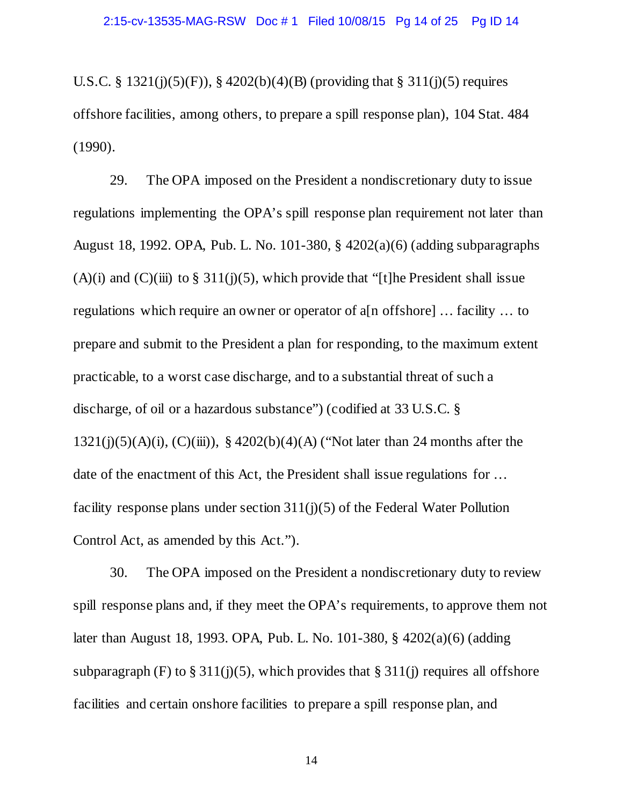U.S.C. § 1321(j)(5)(F)), § 4202(b)(4)(B) (providing that § 311(j)(5) requires offshore facilities, among others, to prepare a spill response plan), 104 Stat. 484 (1990).

29. The OPA imposed on the President a nondiscretionary duty to issue regulations implementing the OPA's spill response plan requirement not later than August 18, 1992. OPA, Pub. L. No. 101-380, § 4202(a)(6) (adding subparagraphs (A)(i) and (C)(iii) to  $\S 311(j)(5)$ , which provide that "[t]he President shall issue regulations which require an owner or operator of a[n offshore] … facility … to prepare and submit to the President a plan for responding, to the maximum extent practicable, to a worst case discharge, and to a substantial threat of such a discharge, of oil or a hazardous substance") (codified at 33 U.S.C. § 1321(j)(5)(A)(i), (C)(iii)), § 4202(b)(4)(A) ("Not later than 24 months after the date of the enactment of this Act, the President shall issue regulations for … facility response plans under section 311(j)(5) of the Federal Water Pollution Control Act, as amended by this Act.").

30. The OPA imposed on the President a nondiscretionary duty to review spill response plans and, if they meet the OPA's requirements, to approve them not later than August 18, 1993. OPA, Pub. L. No. 101-380, § 4202(a)(6) (adding subparagraph (F) to  $\S 311(j)(5)$ , which provides that  $\S 311(j)$  requires all offshore facilities and certain onshore facilities to prepare a spill response plan, and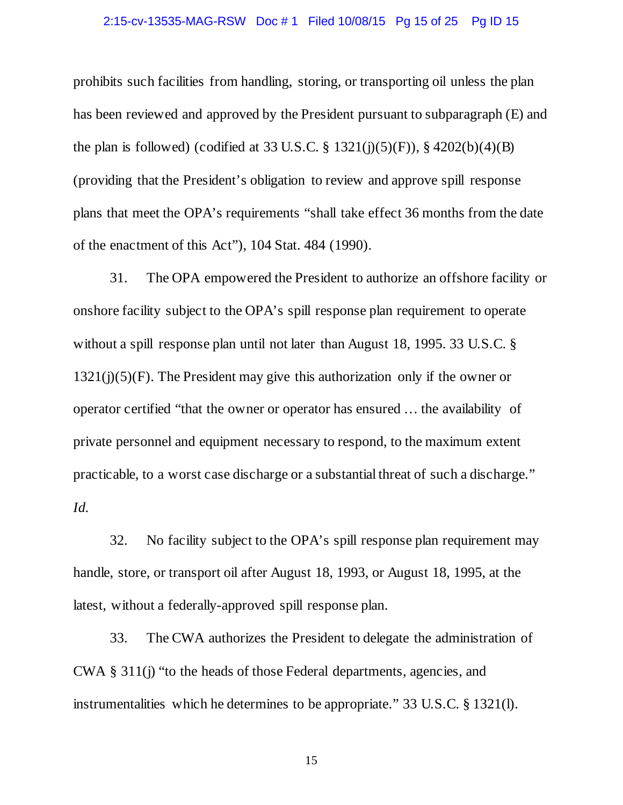### 2:15-cv-13535-MAG-RSW Doc # 1 Filed 10/08/15 Pg 15 of 25 Pg ID 15

prohibits such facilities from handling, storing, or transporting oil unless the plan has been reviewed and approved by the President pursuant to subparagraph (E) and the plan is followed) (codified at 33 U.S.C.  $\S$  1321(j)(5)(F)),  $\S$  4202(b)(4)(B) (providing that the President's obligation to review and approve spill response plans that meet the OPA's requirements "shall take effect 36 months from the date of the enactment of this Act"), 104 Stat. 484 (1990).

31. The OPA empowered the President to authorize an offshore facility or onshore facility subject to the OPA's spill response plan requirement to operate without a spill response plan until not later than August 18, 1995. 33 U.S.C. §  $1321(j)(5)(F)$ . The President may give this authorization only if the owner or operator certified "that the owner or operator has ensured … the availability of private personnel and equipment necessary to respond, to the maximum extent practicable, to a worst case discharge or a substantial threat of such a discharge." *Id.*

32. No facility subject to the OPA's spill response plan requirement may handle, store, or transport oil after August 18, 1993, or August 18, 1995, at the latest, without a federally-approved spill response plan.

33. The CWA authorizes the President to delegate the administration of CWA § 311(j) "to the heads of those Federal departments, agencies, and instrumentalities which he determines to be appropriate." 33 U.S.C. § 1321(l).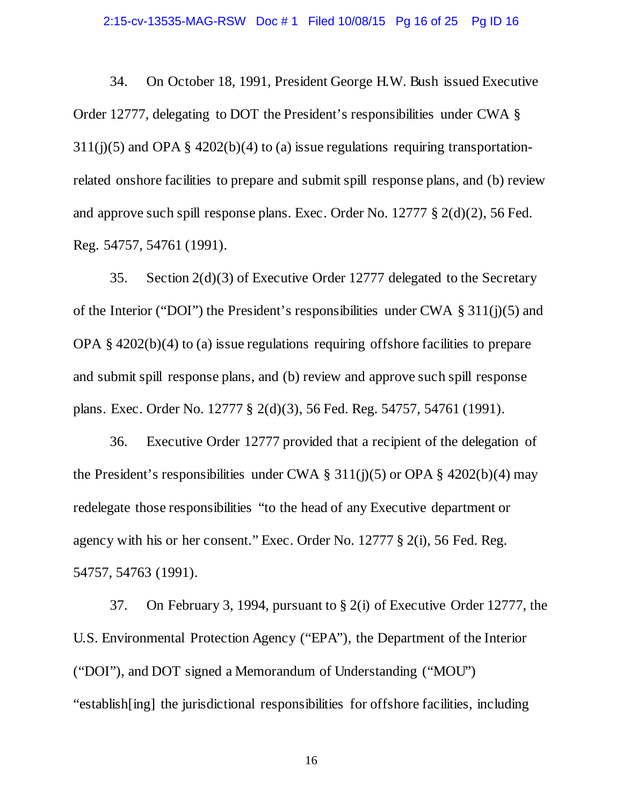### 2:15-cv-13535-MAG-RSW Doc # 1 Filed 10/08/15 Pg 16 of 25 Pg ID 16

34. On October 18, 1991, President George H.W. Bush issued Executive Order 12777, delegating to DOT the President's responsibilities under CWA §  $311(j)(5)$  and OPA §  $4202(b)(4)$  to (a) issue regulations requiring transportationrelated onshore facilities to prepare and submit spill response plans, and (b) review and approve such spill response plans. Exec. Order No. 12777 § 2(d)(2), 56 Fed. Reg. 54757, 54761 (1991).

35. Section 2(d)(3) of Executive Order 12777 delegated to the Secretary of the Interior ("DOI") the President's responsibilities under CWA  $\S 311(i)(5)$  and OPA § 4202(b)(4) to (a) issue regulations requiring offshore facilities to prepare and submit spill response plans, and (b) review and approve such spill response plans. Exec. Order No. 12777 § 2(d)(3), 56 Fed. Reg. 54757, 54761 (1991).

36. Executive Order 12777 provided that a recipient of the delegation of the President's responsibilities under CWA  $\S$  311(j)(5) or OPA  $\S$  4202(b)(4) may redelegate those responsibilities "to the head of any Executive department or agency with his or her consent." Exec. Order No. 12777 § 2(i), 56 Fed. Reg. 54757, 54763 (1991).

37. On February 3, 1994, pursuant to § 2(i) of Executive Order 12777, the U.S. Environmental Protection Agency ("EPA"), the Department of the Interior ("DOI"), and DOT signed a Memorandum of Understanding ("MOU") "establish[ing] the jurisdictional responsibilities for offshore facilities, including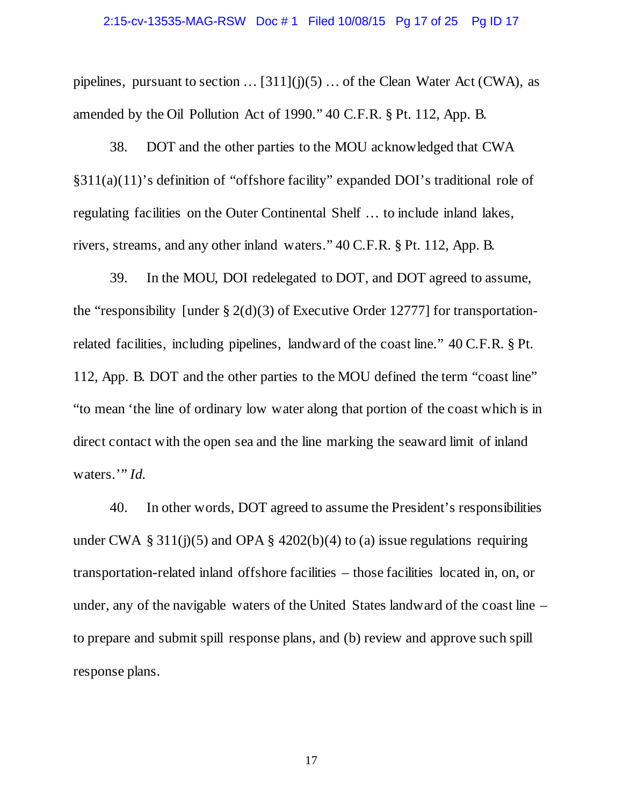### 2:15-cv-13535-MAG-RSW Doc # 1 Filed 10/08/15 Pg 17 of 25 Pg ID 17

pipelines, pursuant to section  $\dots$  [311](j)(5)  $\dots$  of the Clean Water Act (CWA), as amended by the Oil Pollution Act of 1990." 40 C.F.R. § Pt. 112, App. B.

38. DOT and the other parties to the MOU acknowledged that CWA §311(a)(11)'s definition of "offshore facility" expanded DOI's traditional role of regulating facilities on the Outer Continental Shelf … to include inland lakes, rivers, streams, and any other inland waters." 40 C.F.R. § Pt. 112, App. B.

39. In the MOU, DOI redelegated to DOT, and DOT agreed to assume, the "responsibility [under  $\S 2(d)(3)$  of Executive Order 12777] for transportationrelated facilities, including pipelines, landward of the coast line." 40 C.F.R. § Pt. 112, App. B. DOT and the other parties to the MOU defined the term "coast line" "to mean 'the line of ordinary low water along that portion of the coast which is in direct contact with the open sea and the line marking the seaward limit of inland waters."<sup>*Id.*</sup>

40. In other words, DOT agreed to assume the President's responsibilities under CWA § 311(j)(5) and OPA § 4202(b)(4) to (a) issue regulations requiring transportation-related inland offshore facilities – those facilities located in, on, or under, any of the navigable waters of the United States landward of the coast line – to prepare and submit spill response plans, and (b) review and approve such spill response plans.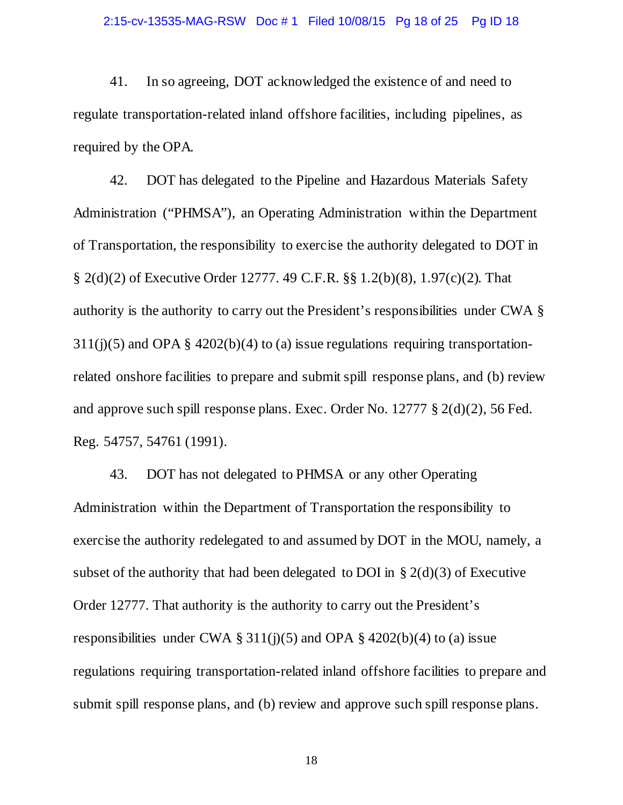41. In so agreeing, DOT acknowledged the existence of and need to regulate transportation-related inland offshore facilities, including pipelines, as required by the OPA.

42. DOT has delegated to the Pipeline and Hazardous Materials Safety Administration ("PHMSA"), an Operating Administration within the Department of Transportation, the responsibility to exercise the authority delegated to DOT in § 2(d)(2) of Executive Order 12777. 49 C.F.R. §§ 1.2(b)(8), 1.97(c)(2). That authority is the authority to carry out the President's responsibilities under CWA §  $311(j)(5)$  and OPA §  $4202(b)(4)$  to (a) issue regulations requiring transportationrelated onshore facilities to prepare and submit spill response plans, and (b) review and approve such spill response plans. Exec. Order No. 12777 § 2(d)(2), 56 Fed. Reg. 54757, 54761 (1991).

43. DOT has not delegated to PHMSA or any other Operating Administration within the Department of Transportation the responsibility to exercise the authority redelegated to and assumed by DOT in the MOU, namely, a subset of the authority that had been delegated to DOI in  $\S 2(d)(3)$  of Executive Order 12777. That authority is the authority to carry out the President's responsibilities under CWA  $\S 311(j)(5)$  and OPA  $\S 4202(b)(4)$  to (a) issue regulations requiring transportation-related inland offshore facilities to prepare and submit spill response plans, and (b) review and approve such spill response plans.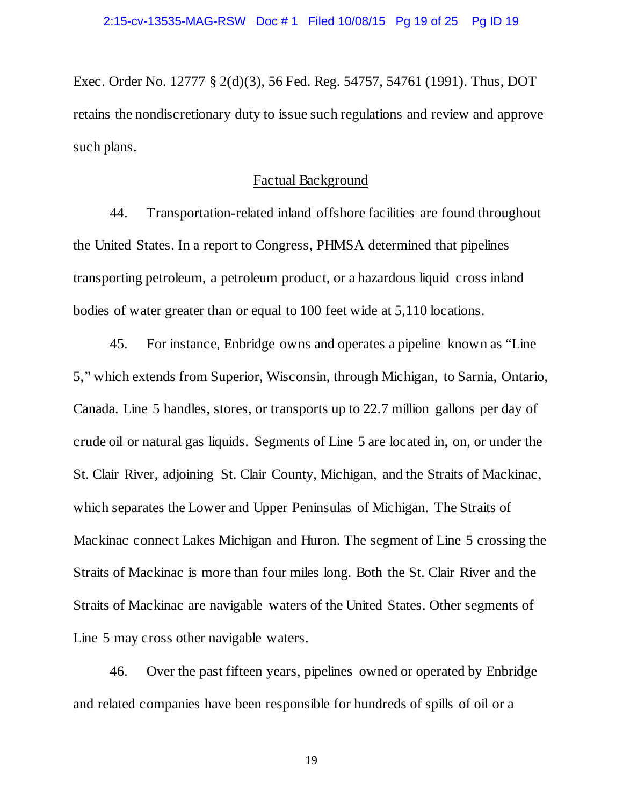Exec. Order No. 12777 § 2(d)(3), 56 Fed. Reg. 54757, 54761 (1991). Thus, DOT retains the nondiscretionary duty to issue such regulations and review and approve such plans.

## Factual Background

44. Transportation-related inland offshore facilities are found throughout the United States. In a report to Congress, PHMSA determined that pipelines transporting petroleum, a petroleum product, or a hazardous liquid cross inland bodies of water greater than or equal to 100 feet wide at 5,110 locations.

45. For instance, Enbridge owns and operates a pipeline known as "Line 5," which extends from Superior, Wisconsin, through Michigan, to Sarnia, Ontario, Canada. Line 5 handles, stores, or transports up to 22.7 million gallons per day of crude oil or natural gas liquids. Segments of Line 5 are located in, on, or under the St. Clair River, adjoining St. Clair County, Michigan, and the Straits of Mackinac, which separates the Lower and Upper Peninsulas of Michigan. The Straits of Mackinac connect Lakes Michigan and Huron. The segment of Line 5 crossing the Straits of Mackinac is more than four miles long. Both the St. Clair River and the Straits of Mackinac are navigable waters of the United States. Other segments of Line 5 may cross other navigable waters.

46. Over the past fifteen years, pipelines owned or operated by Enbridge and related companies have been responsible for hundreds of spills of oil or a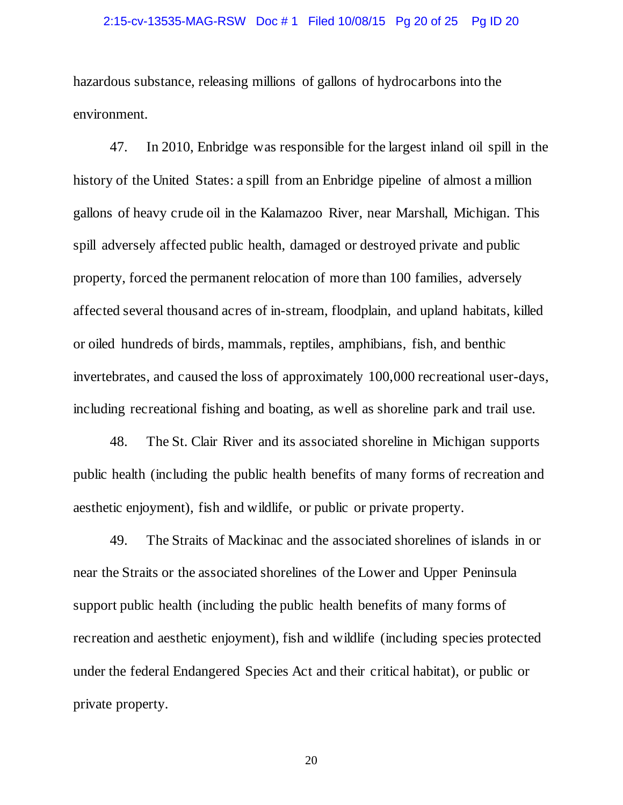### 2:15-cv-13535-MAG-RSW Doc # 1 Filed 10/08/15 Pg 20 of 25 Pg ID 20

hazardous substance, releasing millions of gallons of hydrocarbons into the environment.

47. In 2010, Enbridge was responsible for the largest inland oil spill in the history of the United States: a spill from an Enbridge pipeline of almost a million gallons of heavy crude oil in the Kalamazoo River, near Marshall, Michigan. This spill adversely affected public health, damaged or destroyed private and public property, forced the permanent relocation of more than 100 families, adversely affected several thousand acres of in-stream, floodplain, and upland habitats, killed or oiled hundreds of birds, mammals, reptiles, amphibians, fish, and benthic invertebrates, and caused the loss of approximately 100,000 recreational user-days, including recreational fishing and boating, as well as shoreline park and trail use.

48. The St. Clair River and its associated shoreline in Michigan supports public health (including the public health benefits of many forms of recreation and aesthetic enjoyment), fish and wildlife, or public or private property.

49. The Straits of Mackinac and the associated shorelines of islands in or near the Straits or the associated shorelines of the Lower and Upper Peninsula support public health (including the public health benefits of many forms of recreation and aesthetic enjoyment), fish and wildlife (including species protected under the federal Endangered Species Act and their critical habitat), or public or private property.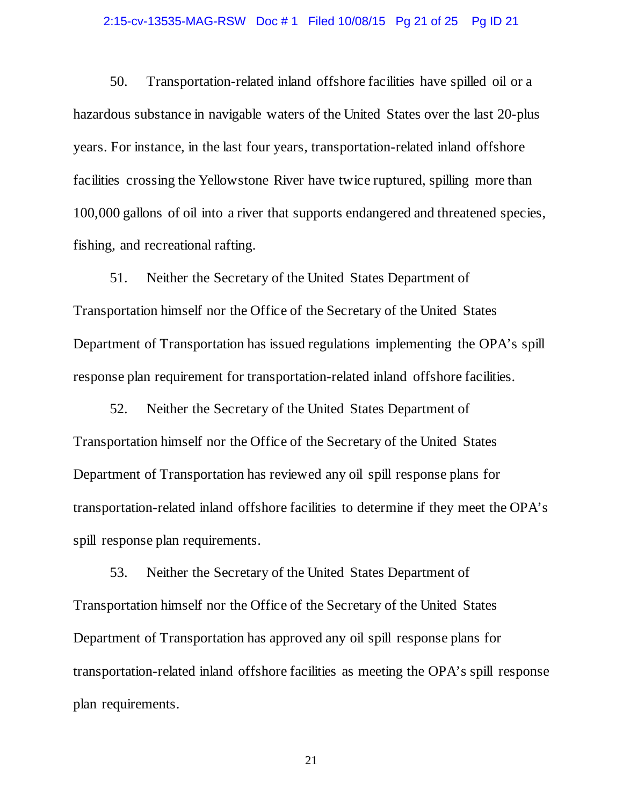### 2:15-cv-13535-MAG-RSW Doc # 1 Filed 10/08/15 Pg 21 of 25 Pg ID 21

50. Transportation-related inland offshore facilities have spilled oil or a hazardous substance in navigable waters of the United States over the last 20-plus years. For instance, in the last four years, transportation-related inland offshore facilities crossing the Yellowstone River have twice ruptured, spilling more than 100,000 gallons of oil into a river that supports endangered and threatened species, fishing, and recreational rafting.

51. Neither the Secretary of the United States Department of Transportation himself nor the Office of the Secretary of the United States Department of Transportation has issued regulations implementing the OPA's spill response plan requirement for transportation-related inland offshore facilities.

52. Neither the Secretary of the United States Department of Transportation himself nor the Office of the Secretary of the United States Department of Transportation has reviewed any oil spill response plans for transportation-related inland offshore facilities to determine if they meet the OPA's spill response plan requirements.

53. Neither the Secretary of the United States Department of Transportation himself nor the Office of the Secretary of the United States Department of Transportation has approved any oil spill response plans for transportation-related inland offshore facilities as meeting the OPA's spill response plan requirements.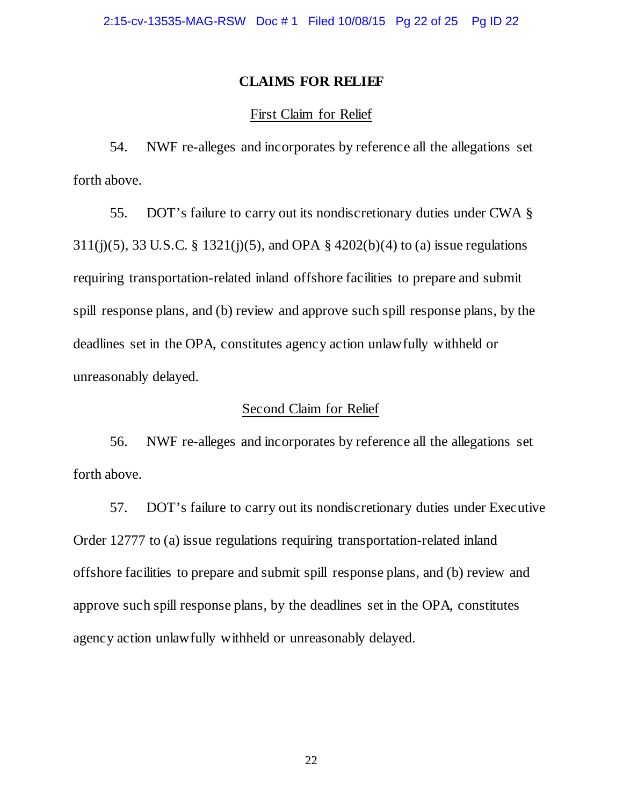## **CLAIMS FOR RELIEF**

## First Claim for Relief

54. NWF re-alleges and incorporates by reference all the allegations set forth above.

55. DOT's failure to carry out its nondiscretionary duties under CWA § 311(j)(5), 33 U.S.C. § 1321(j)(5), and OPA § 4202(b)(4) to (a) issue regulations requiring transportation-related inland offshore facilities to prepare and submit spill response plans, and (b) review and approve such spill response plans, by the deadlines set in the OPA, constitutes agency action unlawfully withheld or unreasonably delayed.

## Second Claim for Relief

56. NWF re-alleges and incorporates by reference all the allegations set forth above.

57. DOT's failure to carry out its nondiscretionary duties under Executive Order 12777 to (a) issue regulations requiring transportation-related inland offshore facilities to prepare and submit spill response plans, and (b) review and approve such spill response plans, by the deadlines set in the OPA, constitutes agency action unlawfully withheld or unreasonably delayed.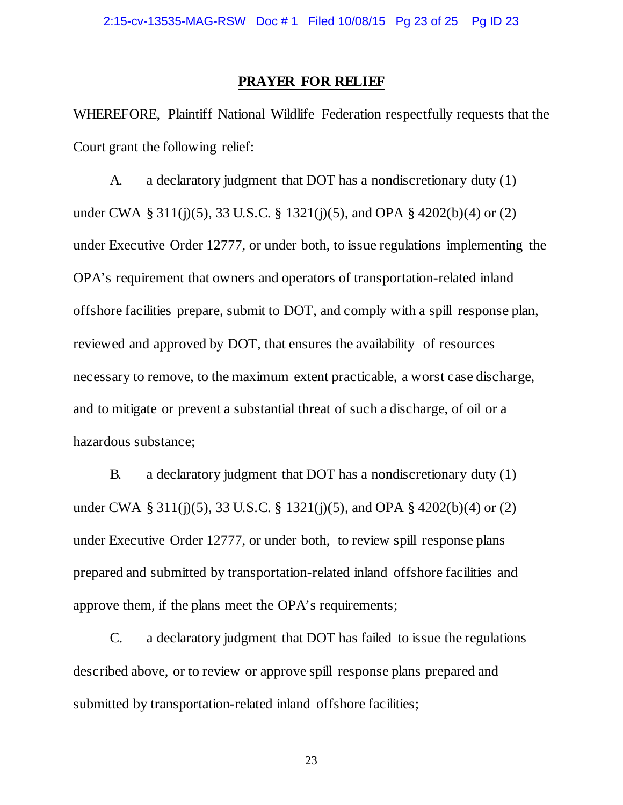### **PRAYER FOR RELIEF**

WHEREFORE, Plaintiff National Wildlife Federation respectfully requests that the Court grant the following relief:

A. a declaratory judgment that DOT has a nondiscretionary duty (1) under CWA § 311(j)(5), 33 U.S.C. § 1321(j)(5), and OPA § 4202(b)(4) or (2) under Executive Order 12777, or under both, to issue regulations implementing the OPA's requirement that owners and operators of transportation-related inland offshore facilities prepare, submit to DOT, and comply with a spill response plan, reviewed and approved by DOT, that ensures the availability of resources necessary to remove, to the maximum extent practicable, a worst case discharge, and to mitigate or prevent a substantial threat of such a discharge, of oil or a hazardous substance;

B. a declaratory judgment that DOT has a nondiscretionary duty (1) under CWA § 311(j)(5), 33 U.S.C. § 1321(j)(5), and OPA § 4202(b)(4) or (2) under Executive Order 12777, or under both, to review spill response plans prepared and submitted by transportation-related inland offshore facilities and approve them, if the plans meet the OPA's requirements;

C. a declaratory judgment that DOT has failed to issue the regulations described above, or to review or approve spill response plans prepared and submitted by transportation-related inland offshore facilities;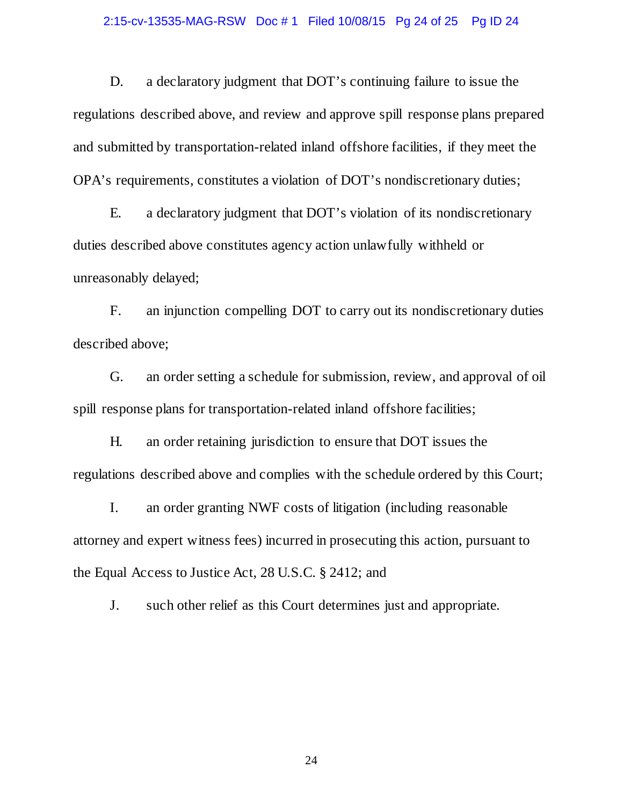### 2:15-cv-13535-MAG-RSW Doc # 1 Filed 10/08/15 Pg 24 of 25 Pg ID 24

D. a declaratory judgment that DOT's continuing failure to issue the regulations described above, and review and approve spill response plans prepared and submitted by transportation-related inland offshore facilities, if they meet the OPA's requirements, constitutes a violation of DOT's nondiscretionary duties;

E. a declaratory judgment that DOT's violation of its nondiscretionary duties described above constitutes agency action unlawfully withheld or unreasonably delayed;

F. an injunction compelling DOT to carry out its nondiscretionary duties described above;

G. an order setting a schedule for submission, review, and approval of oil spill response plans for transportation-related inland offshore facilities;

H. an order retaining jurisdiction to ensure that DOT issues the regulations described above and complies with the schedule ordered by this Court;

I. an order granting NWF costs of litigation (including reasonable attorney and expert witness fees) incurred in prosecuting this action, pursuant to the Equal Access to Justice Act, 28 U.S.C. § 2412; and

J. such other relief as this Court determines just and appropriate.